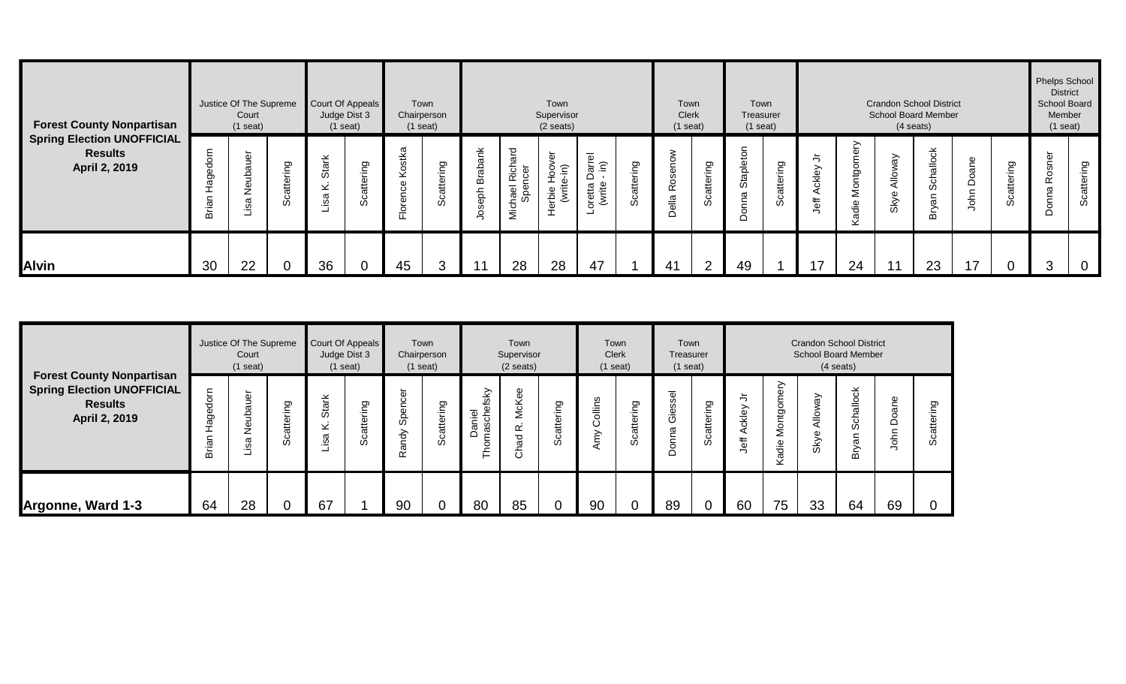| <b>Forest County Nonpartisan</b>                                     |             | Justice Of The Supreme<br>Court<br>$(1$ seat)    |                    |                              | Court Of Appeals<br>Judge Dist 3<br>$(1$ seat) |                                                                        | Town<br>Chairperson<br>$(1$ seat) |                   |                                               | Town<br>Supervisor<br>(2 seats)                                          |                                                          |                   | Town<br><b>Clerk</b><br>$(1$ seat)              |                       | Town<br>Treasurer<br>$(1$ seat) |                      |                                                 |                             | <b>Crandon School District</b><br><b>School Board Member</b><br>$(4$ seats) |                                         |               |                  | <b>Phelps School</b><br><b>District</b><br>School Board<br>Member<br>$(1$ seat) |             |
|----------------------------------------------------------------------|-------------|--------------------------------------------------|--------------------|------------------------------|------------------------------------------------|------------------------------------------------------------------------|-----------------------------------|-------------------|-----------------------------------------------|--------------------------------------------------------------------------|----------------------------------------------------------|-------------------|-------------------------------------------------|-----------------------|---------------------------------|----------------------|-------------------------------------------------|-----------------------------|-----------------------------------------------------------------------------|-----------------------------------------|---------------|------------------|---------------------------------------------------------------------------------|-------------|
| <b>Spring Election UNOFFICIAL</b><br><b>Results</b><br>April 2, 2019 | σ.<br>Brian | gu<br>$\omega$<br>Neub<br>$\omega$<br><u>یه.</u> | attering<br>ပ<br>Ō | Stark<br>$\times$<br>σ<br>.≌ | ring<br>£<br>Ō                                 | æ.<br>€Ř<br>Lë<br>d)<br>ပ<br>මු<br>$\frac{\overline{Q}}{\overline{L}}$ | Scattering                        | $\geq$<br>М<br>हे | ত<br>σ<br>Rich<br>רפו<br>hael<br>Sper<br>Nich | ጣ<br>ia<br>Poe<br>ര<br>ᅩ<br>(write)<br>erbie<br>$\overline{\phantom{0}}$ | $\overline{\Phi}$<br>(크. 高<br>ಹ<br>≏<br>oretta<br>(write | Ō<br>έ<br>Scatter | ₹<br>$\overline{2}$<br>CD<br><b>Ros</b><br>ella | ring<br>atter<br>ပ္တိ | Stapletor<br>◠                  | g<br>ΕĒ<br>atte<br>Ō | っ<br>$\rightarrow$<br>ckley<br>$\ddot{\vec{b}}$ | ≻<br>Φ<br>Ď<br>š<br>응<br>ᡕᢐ | ଟି<br>$\frac{1}{2}$<br>Sky                                                  | $\circ$<br>$\frac{6}{5}$<br>ჭ<br>ვ<br>≃ | Doane<br>John | attering<br>ပ္ပိ | $\sigma$<br>š<br>Ř<br>σ<br>⊂<br>ā<br>◠                                          | Scattering  |
| <b>Alvin</b>                                                         | 30          | 22                                               |                    | 36                           |                                                | 45                                                                     | 3                                 |                   | 28                                            | 28                                                                       | 47                                                       |                   | 41                                              | $\sim$                | 49                              |                      | 17                                              | 24                          | 11                                                                          | 23                                      | 17            |                  | 3                                                                               | $\mathbf 0$ |

|                                                                                                          |                              | Justice Of The Supreme<br>Court<br>$(1$ seat) |                        |                        | Court Of Appeals<br>Judge Dist 3<br>$(1$ seat) |                                                           | Town<br>Chairperson<br>$(1$ seat) |                                                         | Town<br>Supervisor<br>$(2 \text{ seats})$ |                        | Town<br><b>Clerk</b><br>$(1$ seat) |                              | Town<br>Treasurer<br>$(1$ seat)                                |                       |                    |                                          |                                     | <b>Crandon School District</b><br><b>School Board Member</b><br>$(4$ seats) |               |               |
|----------------------------------------------------------------------------------------------------------|------------------------------|-----------------------------------------------|------------------------|------------------------|------------------------------------------------|-----------------------------------------------------------|-----------------------------------|---------------------------------------------------------|-------------------------------------------|------------------------|------------------------------------|------------------------------|----------------------------------------------------------------|-----------------------|--------------------|------------------------------------------|-------------------------------------|-----------------------------------------------------------------------------|---------------|---------------|
| <b>Forest County Nonpartisan</b><br><b>Spring Election UNOFFICIAL</b><br><b>Results</b><br>April 2, 2019 | ε<br>용<br>Φ<br>థె<br>దె<br>ۊ | Neubauer<br>isa<br>ᆜ                          | ō<br>≔<br>atte<br>ပ္ပိ | Stark<br>$\geq$<br>isa | ring<br>atte<br>ت<br>‰                         | ළි<br>⊂<br>$\overline{\Phi}$<br>တိ<br>ηá<br>$\omega$<br>≃ | Ō<br>-<br>۰È<br>Scatter           | $_{\rm 18K}$<br>aniel<br>৳<br>$\sigma$<br>$\Omega$<br>└ | McKee<br>ĸ<br>ನ<br>Š                      | ring<br>atte<br>ပ<br>w | ollins<br>Ö<br>Amy                 | Ō<br>۰È<br>£<br>ōσ<br>ن<br>% | $\overline{\phantom{0}}$<br>$\omega$<br>တ္တ<br>ق<br>ق<br>Donna | g<br>έ<br>cattel<br>w | ≒<br>ckley<br>Jeff | ⋋<br>∽<br>Ф<br>mobit<br>5<br>Ż<br>€<br>ᢐ | ৯<br>$\bar{\vec{}}$<br>✓<br>Φ<br>ŠУ | 꽁<br>$rac{6}{10}$<br>ঁত<br>w<br>ಹ<br>៰                                      | Doane<br>John | ත<br>$\omega$ |
| Argonne, Ward 1-3                                                                                        | 64                           | 28                                            |                        | 67                     |                                                | 90                                                        |                                   | 80                                                      | 85                                        |                        | 90                                 |                              | 89                                                             |                       | 60                 | 75                                       | 33                                  | 64                                                                          | 69            |               |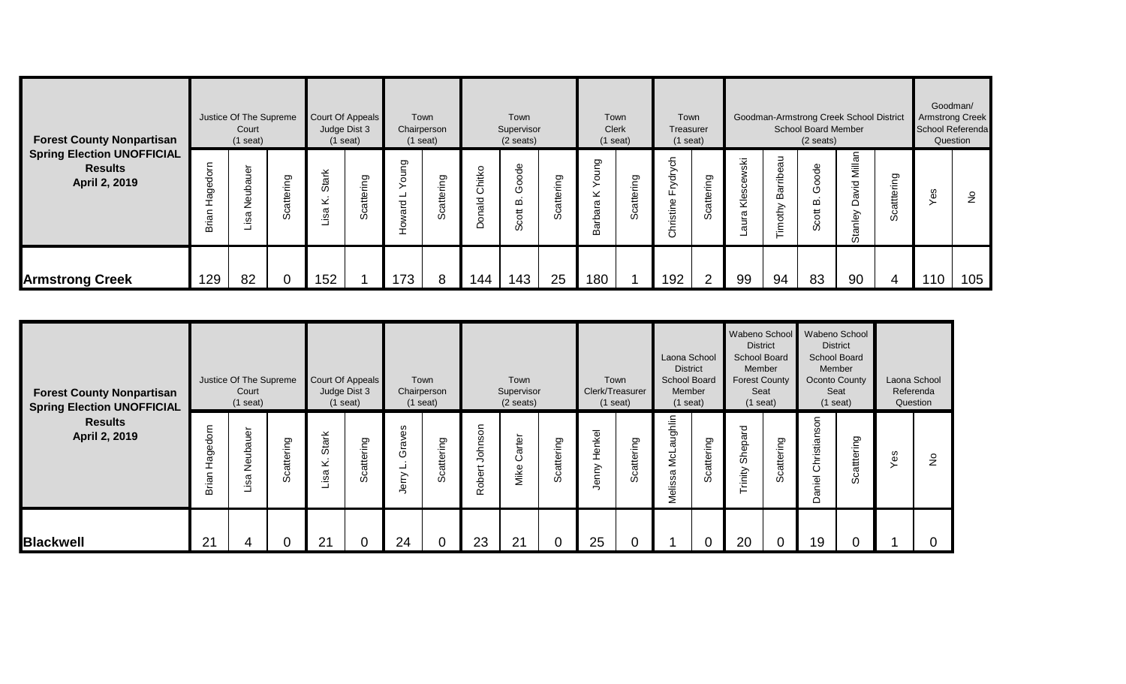| <b>Forest County Nonpartisan</b>                                     |                                      | Justice Of The Supreme<br>Court<br>$(1$ seat) |            | Judge Dist 3          | Court Of Appeals<br>$(1$ seat) |                       | Town<br>Chairperson<br>$(1$ seat) |                        | Town<br>Supervisor<br>$(2 \text{ seats})$       |                    | $(1$ seat)                                     | Town<br><b>Clerk</b> | Town<br>Treasurer<br>$(1$ seat)  |                            |                                   |                                | School Board Member<br>$(2 \text{ seats})$            | Goodman-Armstrong Creek School District |                    | School Referenda | Goodman/<br>Armstrong Creek<br>Question |
|----------------------------------------------------------------------|--------------------------------------|-----------------------------------------------|------------|-----------------------|--------------------------------|-----------------------|-----------------------------------|------------------------|-------------------------------------------------|--------------------|------------------------------------------------|----------------------|----------------------------------|----------------------------|-----------------------------------|--------------------------------|-------------------------------------------------------|-----------------------------------------|--------------------|------------------|-----------------------------------------|
| <b>Spring Election UNOFFICIAL</b><br><b>Results</b><br>April 2, 2019 | dorn<br>Œ<br>ā<br>-<br>an<br>تة<br>ه | auer<br>ق<br>قع<br>∑<br>᠊ᢐ<br>ڡ.              | Scattering | Stark<br>×<br>σ<br>.≌ | Scattering                     | ung<br>$\circ$<br>ard | Scattering                        | hitko<br>১<br>ald<br>◠ | $\frac{\omega}{\sigma}$<br>ତ<br>ତ<br>m<br>Scott | attering<br>ت<br>% | δu<br>$\overline{5}$<br>$\geq$<br>ara<br>Barbi | ō<br>έ<br>£<br>တိ    | ych<br>능<br>≿<br>ш.<br>Christine | Ō<br>Έ<br>atte<br>$\omega$ | ⊻<br>$\omega$<br>S<br>i<br>⊻<br>σ | ಸ<br>C)<br>Barrib<br>othy<br>Ĕ | 융<br>o<br>$\circ$<br>৩<br>≃<br>$\overline{5}$<br>ပ္ပိ | Millan<br>0<br>ā<br>≏<br>Stanley        | attering<br>ت<br>% | Yes              | $\frac{1}{2}$                           |
| <b>Armstrong Creek</b>                                               | 129                                  | 82                                            | 0          | 152                   |                                | 173                   | 8                                 | 144                    | 143                                             | 25                 | 180                                            |                      | 192                              | C                          | 99                                | 94                             | 83                                                    | 90                                      | 4                  | 110              | 105                                     |

| <b>Forest County Nonpartisan</b><br><b>Spring Election UNOFFICIAL</b> |                             | Justice Of The Supreme<br>Court<br>$(1$ seat) |            |                           | Court Of Appeals<br>Judge Dist 3<br>$(1$ seat) |                              | Town<br>Chairperson<br>$(1$ seat) |                                     | Town<br>Supervisor<br>$(2 \text{ seats})$ |            | Town<br>Clerk/Treasurer<br>$(1$ seat) |            | Laona School<br><b>District</b><br>School Board<br>Member<br>$(1$ seat) |                | Wabeno School<br><b>District</b><br>School Board<br>Member<br><b>Forest County</b><br>Seat<br>$(1$ seat) |                  | Wabeno School<br><b>School Board</b><br>Oconto County | <b>District</b><br>Member<br>Seat<br>$(1$ seat) |     | Laona School<br>Referenda<br>Question |
|-----------------------------------------------------------------------|-----------------------------|-----------------------------------------------|------------|---------------------------|------------------------------------------------|------------------------------|-----------------------------------|-------------------------------------|-------------------------------------------|------------|---------------------------------------|------------|-------------------------------------------------------------------------|----------------|----------------------------------------------------------------------------------------------------------|------------------|-------------------------------------------------------|-------------------------------------------------|-----|---------------------------------------|
| <b>Results</b><br>April 2, 2019                                       | dorn<br>ē,<br>후<br>iar<br>മ | Neubauer<br>Lisa                              | Scattering | <b>Stark</b><br>×<br>Lisa | Scattering                                     | eδ<br>Γāν<br>৩<br>ᆜ<br>Jerry | Scattering                        | Johnson<br>$\overline{5}$<br>용<br>œ | Carter<br>Mike                            | Scattering | Henkel<br>Jenny                       | Scattering | ughlin<br>œ<br>NcL:<br>M<br>$\varpi$<br>Melissa                         | Scattering     | Shepard<br>rinity                                                                                        | attering<br>မ္တိ | Christianson<br>Daniel                                | Scatttering                                     | Yes | $\frac{6}{2}$                         |
| Blackwell                                                             | 21                          | 4                                             |            | 21                        |                                                | 24                           |                                   | 23                                  | 21                                        |            | 25                                    |            |                                                                         | $\overline{0}$ | 20                                                                                                       |                  | 19                                                    |                                                 |     |                                       |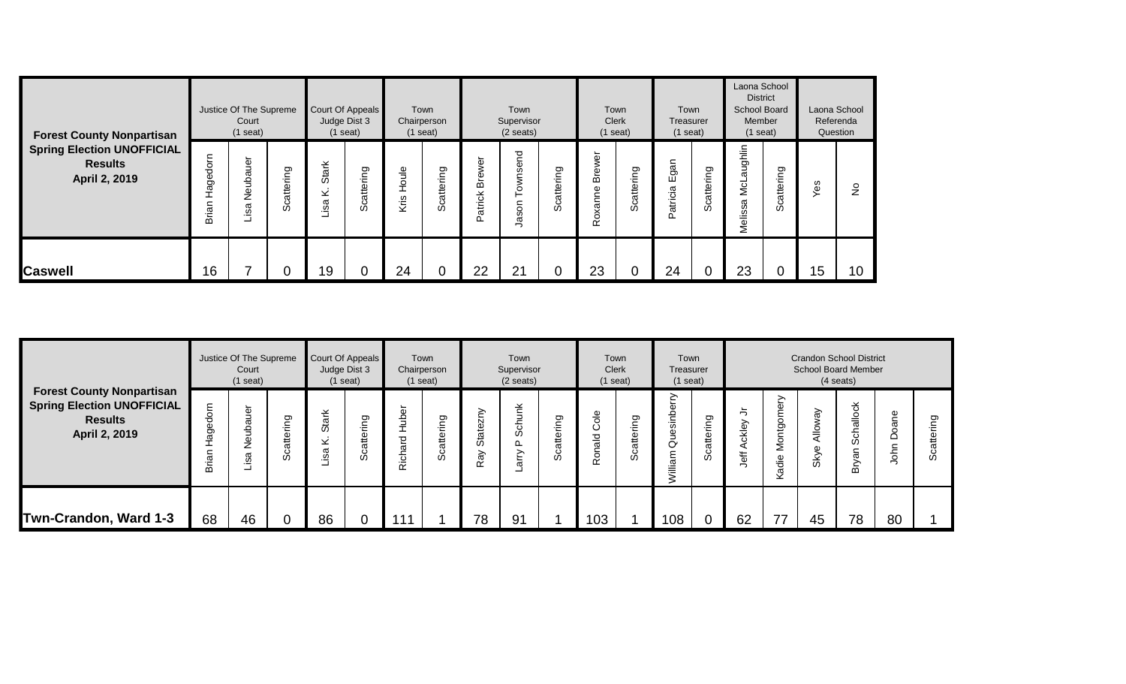| <b>Forest County Nonpartisan</b>                                     |                   | Justice Of The Supreme<br>Court<br>$(1$ seat) |                          |                               | Court Of Appeals<br>Judge Dist 3<br>$(1$ seat) |                            | Town<br>Chairperson<br>$(1$ seat) |                   | Town<br>Supervisor<br>$(2 \text{ seats})$ |                    | $(1$ seat)        | Town<br><b>Clerk</b> | Town<br>Treasurer<br>$(1$ seat)     |                       | Laona School<br><b>District</b><br><b>School Board</b><br>Member<br>$(1$ seat) |            |     | Laona School<br>Referenda<br>Question |
|----------------------------------------------------------------------|-------------------|-----------------------------------------------|--------------------------|-------------------------------|------------------------------------------------|----------------------------|-----------------------------------|-------------------|-------------------------------------------|--------------------|-------------------|----------------------|-------------------------------------|-----------------------|--------------------------------------------------------------------------------|------------|-----|---------------------------------------|
| <b>Spring Election UNOFFICIAL</b><br><b>Results</b><br>April 2, 2019 | Hagedorn<br>Brian | uer<br>σ<br>ق<br>قع<br>isa                    | ttering<br>ō<br>$\omega$ | <b>Stark</b><br>$\geq$<br>isa | Scattering                                     | $\frac{e}{1}$<br>운<br>Kris | ttering<br>ā<br>ت<br>$\omega$     | Brewer<br>Patrick | ownsend<br>Jason                          | attering<br>ပ<br>ഗ | Brewer<br>Roxanne | Scattering           | $\subset$<br>த<br>ш<br>atricia<br>≏ | cattering<br>$\omega$ | ughlin<br>ω<br>Ncl<br>6<br>Melissa                                             | Scattering | Yes | $\frac{1}{2}$                         |
| <b>Caswell</b>                                                       | 16                |                                               |                          | 19                            | U                                              | 24                         |                                   | 22                | 21                                        | U                  | 23                |                      | 24                                  | U                     | 23                                                                             | υ          | 15  | 10                                    |

|                                                                                                          |                              | Justice Of The Supreme<br>Court<br>$(1$ seat) |                                  |                             | Court Of Appeals<br>Judge Dist 3<br>$(1$ seat) |                              | Town<br>Chairperson<br>$(1$ seat) |                            | Town<br>Supervisor<br>$(2 \text{ seats})$ |                        | Town<br><b>Clerk</b><br>$(1$ seat)             |                                 | Town<br>Treasurer<br>$(1$ seat)           |                           |                  |                                                         |                                    | <b>Crandon School District</b><br><b>School Board Member</b><br>$(4$ seats) |               |           |
|----------------------------------------------------------------------------------------------------------|------------------------------|-----------------------------------------------|----------------------------------|-----------------------------|------------------------------------------------|------------------------------|-----------------------------------|----------------------------|-------------------------------------------|------------------------|------------------------------------------------|---------------------------------|-------------------------------------------|---------------------------|------------------|---------------------------------------------------------|------------------------------------|-----------------------------------------------------------------------------|---------------|-----------|
| <b>Forest County Nonpartisan</b><br><b>Spring Election UNOFFICIAL</b><br><b>Results</b><br>April 2, 2019 | dorn<br>Φ<br>.<br>≌<br>Briar | Neubauer<br>Lisa                              | ත<br>۰È<br>atte<br>ပ<br>$\omega$ | ark<br>ö<br>$\times$<br>isa | ring<br>atte<br>မိ                             | <b>Hubei</b><br>ard<br>Richi | တ<br>ΕĒ<br>atter<br>ပ္ပိ          | ≥<br>Φ<br>ō<br>ö<br>৯<br>Ñ | unk<br>동<br>ഗ<br>⊏<br>$\omega$            | ing<br>attei<br>ပ<br>Ø | $rac{e}{\sigma}$<br>ပ<br>$\frac{d}{d}$<br>Rona | တ<br>έ<br>atte<br>ပ<br>$\omega$ | Quesinberry<br>illiam<br>$\overline{\ge}$ | ing<br>Φ<br>흖<br>$\omega$ | ≒<br>ckley<br>₽₽ | ≧<br>Ф<br>ō<br>Đ,<br>$\overline{\circ}$<br>Σ<br>€<br>ᡕᢐ | ଟି<br>Allo <sup>®</sup><br>Φ<br>ŠК | 쏭<br>$\stackrel{\circ}{=}$<br>$\omega$<br>०                                 | Doane<br>John | ත<br>ပ္တိ |
| Twn-Crandon, Ward 1-3                                                                                    | 68                           | 46                                            | 0                                | 86                          |                                                | $11^{\circ}$                 |                                   | 78                         | 91                                        |                        | 103                                            |                                 | 108                                       |                           | 62               | ラフ                                                      | 45                                 | 78                                                                          | 80            |           |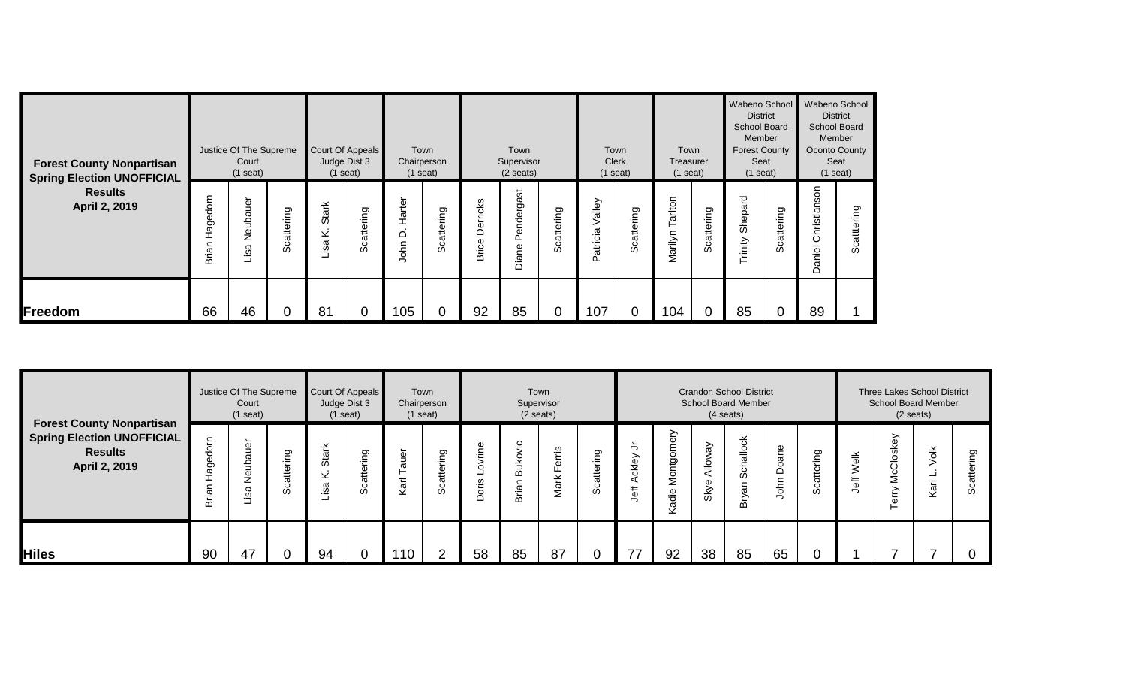| <b>Forest County Nonpartisan</b><br><b>Spring Election UNOFFICIAL</b> |                   | Justice Of The Supreme<br>Court<br>$(1$ seat) |            |                          | Court Of Appeals<br>Judge Dist 3<br>$(1$ seat) |                                                 | Town<br>Chairperson<br>$(1$ seat) |                          | Town<br>Supervisor<br>$(2 \text{ seats})$ |                    |                        | Town<br>Clerk<br>$(1$ seat) | Town<br>Treasurer<br>$(1$ seat) |                | Wabeno School<br><b>District</b><br>School Board<br>Member<br><b>Forest County</b><br>Seat<br>$(1$ seat) |            | Wabeno School<br><b>District</b><br><b>School Board</b><br>Member<br>Oconto County<br>$(1$ seat) | Seat               |
|-----------------------------------------------------------------------|-------------------|-----------------------------------------------|------------|--------------------------|------------------------------------------------|-------------------------------------------------|-----------------------------------|--------------------------|-------------------------------------------|--------------------|------------------------|-----------------------------|---------------------------------|----------------|----------------------------------------------------------------------------------------------------------|------------|--------------------------------------------------------------------------------------------------|--------------------|
| <b>Results</b><br>April 2, 2019                                       | Hagedorn<br>Brian | ubauer<br>قع<br>isa                           | Scattering | <b>Stark</b><br>⊻<br>jsa | Scattering                                     | $\overline{\phantom{a}}$<br>Harter<br>≏<br>John | attering<br>ت<br>Ō                | Derricks<br><b>Brice</b> | Pendergast<br>Diane                       | attering<br>ت<br>‰ | alley<br>><br>Patricia | Scattering                  | arton<br>Marilyn                | Scattering     | 짇<br>σ<br>မ္မ<br>န်<br>rinity                                                                            | Scattering | Christianson<br><b>Daniel</b>                                                                    | attering<br>ت<br>‰ |
| Freedom                                                               | 66                | 46                                            |            | 81                       | 0                                              | 105                                             |                                   | 92                       | 85                                        | 0                  | 107                    |                             | 104                             | $\overline{0}$ | 85                                                                                                       | $\Omega$   | 89                                                                                               |                    |

|                                                                                                          |                        | Justice Of The Supreme<br>Court<br>$(1$ seat)                 |                                                 | Judge Dist 3                 | Court Of Appeals<br>$(1$ seat)               | Town<br>Chairperson<br>$(1$ seat)             |                    |                           | Supervisor<br>$(2 \text{ seats})$ | Town           |                                                         |                            |                         |                               | <b>Crandon School District</b><br><b>School Board Member</b><br>$(4$ seats) |                     |               |                                  | $(2 \text{ seats})$               | Three Lakes School District<br><b>School Board Member</b> |                       |
|----------------------------------------------------------------------------------------------------------|------------------------|---------------------------------------------------------------|-------------------------------------------------|------------------------------|----------------------------------------------|-----------------------------------------------|--------------------|---------------------------|-----------------------------------|----------------|---------------------------------------------------------|----------------------------|-------------------------|-------------------------------|-----------------------------------------------------------------------------|---------------------|---------------|----------------------------------|-----------------------------------|-----------------------------------------------------------|-----------------------|
| <b>Forest County Nonpartisan</b><br><b>Spring Election UNOFFICIAL</b><br><b>Results</b><br>April 2, 2019 | Ε<br>용<br>łage<br>Bria | $\overline{\phantom{0}}$<br>$\Phi$<br>⊃<br>ھ<br>-<br>⇁<br>ِ ⊘ | Ō<br>ΕĒ<br>$\mathfrak{g}_1$<br>$\sigma$<br>ပ္ပိ | 쏜<br>σ<br>ö<br>$\times$<br>ၷ | ō<br>ξ<br>$\overline{e}$<br>$\sigma$<br>ပ္တိ | 느<br>$\Phi$<br>σ<br>$\overline{\overline{a}}$ | ō<br>ΕĒ<br>Scatter | Φ<br>$-$<br>ဖ<br>$-$<br>C | ukovic<br>≃<br>rian<br>മ          | ٠≌<br>ی<br>Jar | ත<br>$\overline{\phantom{0}}$<br>۰È<br>₽<br>ō<br>ပ<br>Ō | –<br>∽<br>Φ<br>⊻<br>⇇<br>Φ | Montgomery<br>adie<br>✓ | λ<br>$\circ$<br>₹<br>Φ<br>Sky | allock<br>Šö<br>an<br>⋋<br>۰.<br>≃                                          | Φ<br>ā<br>å<br>John | ing<br>₽<br>w | $\frac{1}{\Phi}$<br>Š<br>£f<br>– | ≻<br>C)<br>জ<br>õ<br>ĕ<br>Σ<br>C) | $\frac{1}{\sqrt{2}}$<br>–<br>Kari                         | ත<br>È<br>ഉ<br>ပ<br>Ō |
| <b>Hiles</b>                                                                                             | 90                     | 47                                                            | 0                                               | 94                           | 0                                            | 110                                           | 2                  | 58                        | 85                                | 87             |                                                         |                            | 92                      | 38                            | 85                                                                          | 65                  |               |                                  |                                   |                                                           |                       |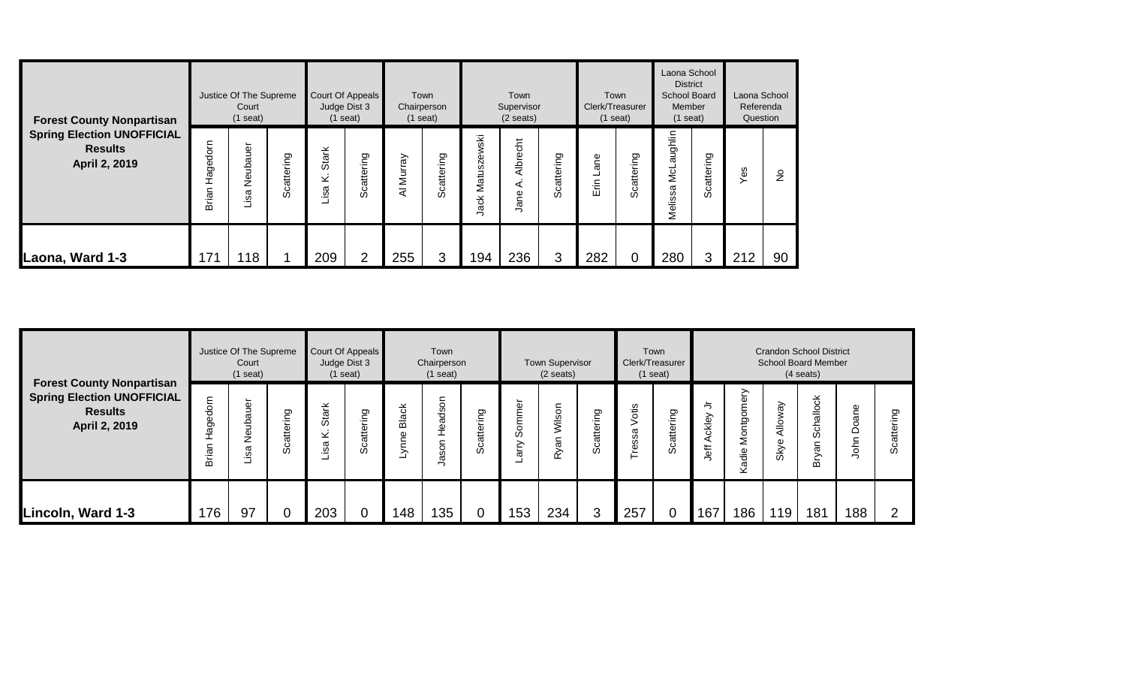| <b>Forest County Nonpartisan</b>                                     |                   | Justice Of The Supreme<br>Court<br>$(1$ seat) |            |                      | Court Of Appeals<br>Judge Dist 3<br>$(1$ seat) |             | Town<br>Chairperson<br>$(1$ seat) |                                     | Town<br>Supervisor<br>$(2 \text{ seats})$ |            | Clerk/Treasurer<br>$(1$ seat) | Town                       | Laona School<br><b>District</b><br>School Board<br>Member<br>$(1$ seat) |            | Laona School<br>Referenda<br>Question |               |
|----------------------------------------------------------------------|-------------------|-----------------------------------------------|------------|----------------------|------------------------------------------------|-------------|-----------------------------------|-------------------------------------|-------------------------------------------|------------|-------------------------------|----------------------------|-------------------------------------------------------------------------|------------|---------------------------------------|---------------|
| <b>Spring Election UNOFFICIAL</b><br><b>Results</b><br>April 2, 2019 | Hagedorn<br>Brian | Neubauer<br>Lisa                              | Scattering | 녻<br>Sta<br>×<br>isa | attering<br>ပ<br>Ō                             | Murray<br>₹ | Scattering                        | ški<br>zew:<br>ÖÕ.<br>Matu:<br>Jack | 5<br>Albre<br>⋖<br>Jane                   | Scattering | Φ<br>ā<br>ę۶<br>ш             | ත<br>E<br>atteri<br>ت<br>Ō | aughlin<br><u>s</u><br>Melissa                                          | Scattering | œ                                     | $\frac{9}{2}$ |
| Laona, Ward 1-3                                                      | $\overline{7}$    | 118                                           |            | 209                  | ⌒                                              | 255         | 3                                 | 194                                 | 236                                       | 3          | 282                           |                            | 280                                                                     | 3          | 212                                   | 90            |

|                                                                                                          |                             | Justice Of The Supreme<br>Court<br>$(1$ seat) |                    | Court Of Appeals<br>Judge Dist 3 | $(1$ seat) |              | Town<br>Chairperson<br>$(1$ seat)         |                 |                   | <b>Town Supervisor</b><br>$(2 \text{ seats})$ |                    | Clerk/Treasurer           | Town<br>$(1$ seat) |                                                                     |                         |                 | <b>Crandon School District</b><br><b>School Board Member</b><br>$(4$ seats) |                                                       |              |
|----------------------------------------------------------------------------------------------------------|-----------------------------|-----------------------------------------------|--------------------|----------------------------------|------------|--------------|-------------------------------------------|-----------------|-------------------|-----------------------------------------------|--------------------|---------------------------|--------------------|---------------------------------------------------------------------|-------------------------|-----------------|-----------------------------------------------------------------------------|-------------------------------------------------------|--------------|
| <b>Forest County Nonpartisan</b><br><b>Spring Election UNOFFICIAL</b><br><b>Results</b><br>April 2, 2019 | dorn<br>Hage<br>Я<br>÷<br>മ | $\Phi$<br>σ<br>ءَ<br>z<br>σ<br>≅.             | attering<br>ပ<br>ഗ | L<br>᠊ᢐ<br>ö<br>⊻<br>isa         | Scattering | <b>Black</b> | S<br>ၯ<br>ä<br>Φ<br>-<br>১<br>ဖ<br>σ<br>⇁ | ring<br>Scatter | nmer<br>တွ<br>ЯIР | $\circ$<br>Š<br>π<br>œ                        | attering<br>ပ<br>ഗ | ÷≌<br>$\circ$<br>σ<br>ëss | Scattering         | ≒<br>⋋<br><b>Ackle</b><br>$\overline{\overline{\overline{6}}}$<br>¬ | ⋋<br>Montgomer<br>Kadie | Nlloway<br>Skye | Schallock<br>Bryan                                                          | ane<br>ő<br>$\Omega$<br>$\overline{\phantom{0}}$<br>ㅎ | ත<br>.≒<br>w |
| Lincoln, Ward 1-3                                                                                        | 176                         | 97                                            | 0                  | 203                              |            | 148          | 135                                       | $\overline{0}$  | 153               | 234                                           | 3                  | 257                       |                    | 167                                                                 | 186                     | 119             | 181                                                                         | 188                                                   | ⌒            |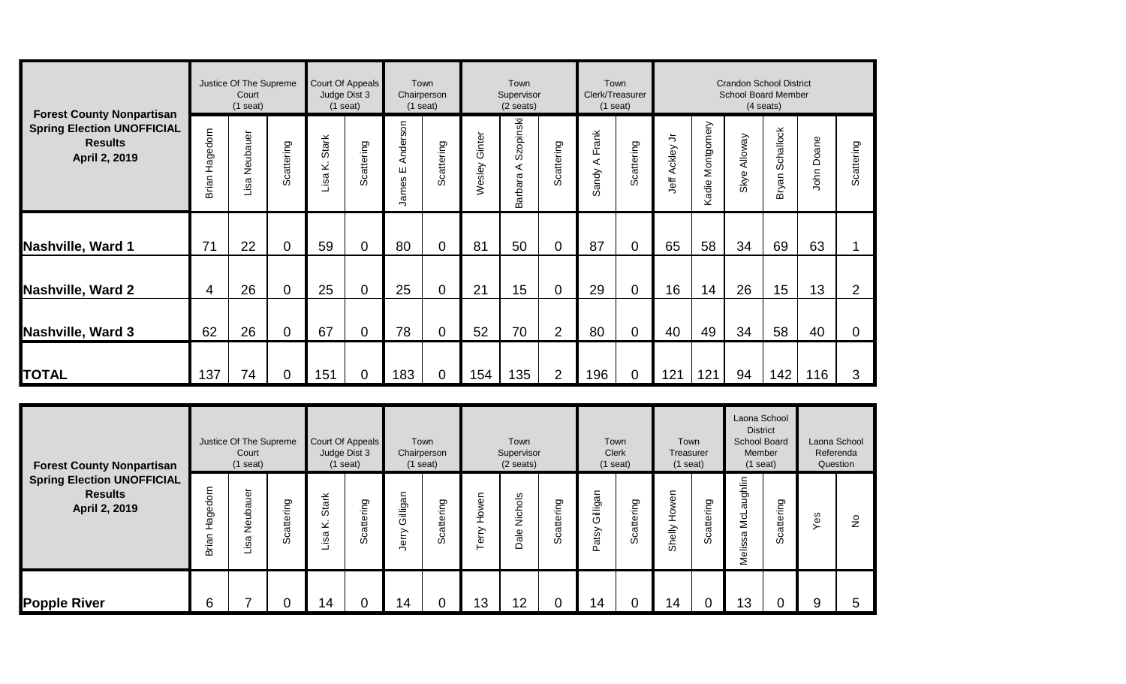|                                                                                                          |                   | Justice Of The Supreme<br>Court<br>$(1$ seat) |                |                     | Court Of Appeals<br>Judge Dist 3<br>$(1$ seat) |                        | Town<br>Chairperson<br>$(1$ seat) |                  | Town<br>Supervisor<br>$(2 \text{ seats})$ |                | Clerk/Treasurer<br>$(1$ seat)  | Town           |                  |                  | <b>Crandon School District</b><br><b>School Board Member</b> | $(4$ seats)        |            |                |
|----------------------------------------------------------------------------------------------------------|-------------------|-----------------------------------------------|----------------|---------------------|------------------------------------------------|------------------------|-----------------------------------|------------------|-------------------------------------------|----------------|--------------------------------|----------------|------------------|------------------|--------------------------------------------------------------|--------------------|------------|----------------|
| <b>Forest County Nonpartisan</b><br><b>Spring Election UNOFFICIAL</b><br><b>Results</b><br>April 2, 2019 | Hagedorn<br>Brian | Neubauer<br>Lisa                              | Scattering     | Stark<br>نج<br>Lisa | Scattering                                     | Anderson<br>Ш<br>James | Scattering                        | Ginter<br>Wesley | Szopinski<br>⋖<br>Barbara                 | Scattering     | Frank<br>⋖<br>andy<br>$\omega$ | Scattering     | ち<br>Jeff Ackley | Kadie Montgomery | Nloway<br>Skye                                               | Schallock<br>Bryan | John Doane | Scattering     |
| Nashville, Ward 1                                                                                        | 71                | 22                                            | 0              | 59                  | $\overline{0}$                                 | 80                     | 0                                 | 81               | 50                                        | $\overline{0}$ | 87                             | $\overline{0}$ | 65               | 58               | 34                                                           | 69                 | 63         |                |
|                                                                                                          |                   |                                               |                |                     |                                                |                        |                                   |                  |                                           |                |                                |                |                  |                  |                                                              |                    |            |                |
| <b>Nashville, Ward 2</b>                                                                                 | 4                 | 26                                            | $\overline{0}$ | 25                  | $\mathbf 0$                                    | 25                     | 0                                 | 21               | 15                                        | $\overline{0}$ | 29                             | 0              | 16               | 14               | 26                                                           | 15                 | 13         | $\overline{2}$ |
| Nashville, Ward 3                                                                                        | 62                | 26                                            | $\overline{0}$ | 67                  | $\mathbf 0$                                    | 78                     | 0                                 | 52               | 70                                        | $\overline{2}$ | 80                             | $\overline{0}$ | 40               | 49               | 34                                                           | 58                 | 40         | $\mathbf 0$    |
| <b>TOTAL</b>                                                                                             | 137               | 74                                            | 0              | 151                 | $\mathbf 0$                                    | 183                    | $\mathbf 0$                       | 154              | 135                                       | $\overline{2}$ | 196                            | 0              | 121              | 121              | 94                                                           | 142                | 116        | 3              |

| <b>Forest County Nonpartisan</b>                                     |                   | Justice Of The Supreme<br>Court<br>$(1$ seat) |                |                                 | Court Of Appeals<br>Judge Dist 3<br>$(1$ seat) |                       | Town<br>Chairperson<br>$(1$ seat) |                    | Town<br>Supervisor<br>$(2 \text{ seats})$ |                           |                       | Town<br><b>Clerk</b><br>$(1$ seat) | Town<br>Treasurer<br>$(1$ seat) |            | Laona School<br><b>District</b><br><b>School Board</b><br>Member<br>$(1$ seat) |                        | Laona School<br>Referenda<br>Question |               |
|----------------------------------------------------------------------|-------------------|-----------------------------------------------|----------------|---------------------------------|------------------------------------------------|-----------------------|-----------------------------------|--------------------|-------------------------------------------|---------------------------|-----------------------|------------------------------------|---------------------------------|------------|--------------------------------------------------------------------------------|------------------------|---------------------------------------|---------------|
| <b>Spring Election UNOFFICIAL</b><br><b>Results</b><br>April 2, 2019 | Hagedorn<br>Brian | ubauer<br>₫<br>Z<br>$\omega$<br>∾.            | ing<br>Scatter | <b>Stark</b><br>Ż<br><u>.sa</u> | Scattering                                     | Gilligan<br>erry<br>¬ | ring<br>attel<br>ت<br>Ō           | Howen<br>erry<br>⊢ | Nichols<br>Dale                           | ō<br>ΕĒ<br>atte<br>ت<br>% | Gilligan<br>atsy<br>۵ | ring<br>Scatter                    | wen<br>오<br>Shelly              | Scattering | aughlin<br>NcL<br>Melissa                                                      | တ<br>÷٤<br>catter<br>Ō | Yes                                   | $\frac{1}{2}$ |
| <b>Popple River</b>                                                  | 6                 |                                               |                | 14                              |                                                | 14                    |                                   | 13                 | 12                                        | 0                         | 14                    | 0                                  | 14                              | 0          | 13                                                                             |                        | 9                                     | 5             |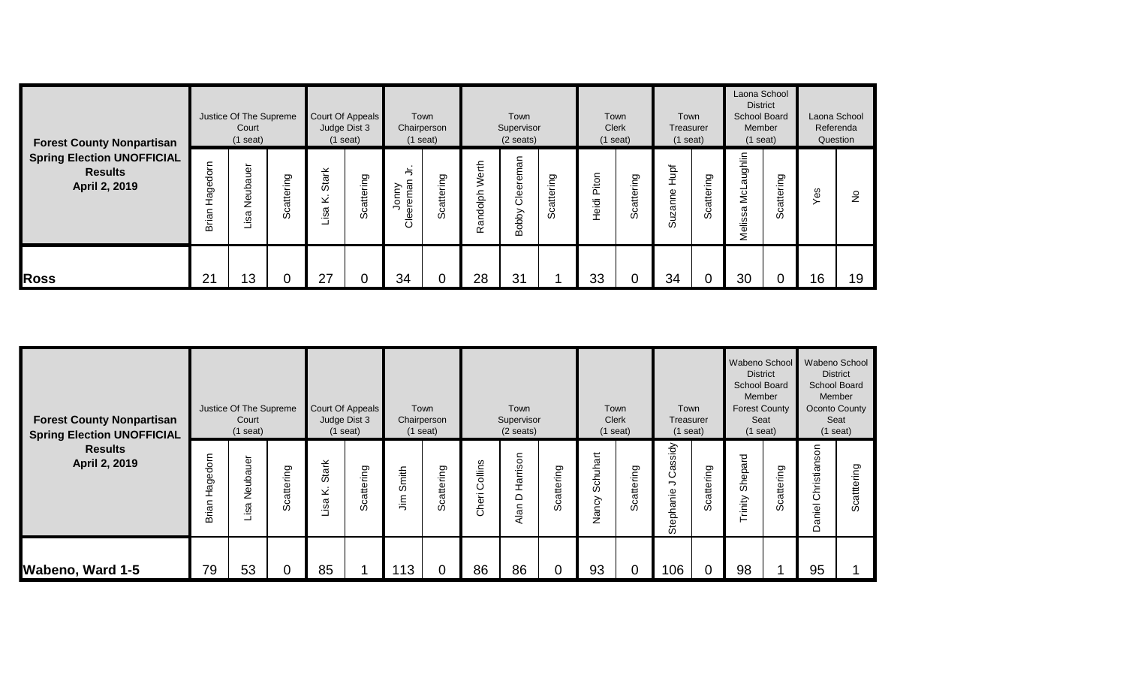| <b>Forest County Nonpartisan</b><br><b>Spring Election UNOFFICIAL</b><br><b>Results</b><br>April 2, 2019 | Justice Of The Supreme<br>Court<br>$(1$ seat) |                         |                      | Court Of Appeals<br>Judge Dist 3<br>$(1$ seat) |            | Town<br>Chairperson<br>$(1$ seat) |                | Town<br>Supervisor<br>$(2 \text{ seats})$ |                       |                    | Town<br><b>Clerk</b><br>$(1$ seat) |                | Town<br>Treasurer<br>$(1$ seat) |            | Laona School<br><b>District</b><br><b>School Board</b><br>Member<br>$(1$ seat) |            |     | Laona School<br>Referenda<br>Question |
|----------------------------------------------------------------------------------------------------------|-----------------------------------------------|-------------------------|----------------------|------------------------------------------------|------------|-----------------------------------|----------------|-------------------------------------------|-----------------------|--------------------|------------------------------------|----------------|---------------------------------|------------|--------------------------------------------------------------------------------|------------|-----|---------------------------------------|
|                                                                                                          | Hagedorn<br>Brian                             | Jer<br>uba<br>قع<br>isa | iring<br>catter<br>Ō | <b>Stark</b><br>$\geq$<br>isa                  | Scattering | 与<br>eremar<br>Jonny<br>€         | cattering<br>ഗ | Werth<br>Randolph                         | eman<br>Clee<br>Bobby | ဥ<br>catterin<br>Ō | Piton<br>Heidi                     | cattering<br>Ō | đ<br>Φ<br>ā<br>ω                | Scattering | ughlin<br>σ<br>ls<br>∑<br>Melissa                                              | Scattering | Yes | $\frac{1}{2}$                         |
| <b>Ross</b>                                                                                              | 21                                            | 13                      |                      | 27                                             |            | 34                                |                | 28                                        | 31                    |                    | 33                                 |                | 34                              | 0          | 30                                                                             |            | 16  | 19                                    |

| <b>Forest County Nonpartisan</b><br><b>Spring Election UNOFFICIAL</b><br><b>Results</b><br>April 2, 2019 | Justice Of The Supreme<br>Court<br>$(1$ seat) |                     |                    | Court Of Appeals<br>Judge Dist 3<br>$(1$ seat) |            | Town<br>Chairperson<br>$(1$ seat) |                       | Town<br>Supervisor<br>$(2 \text{ seats})$ |                       |                |                   | Town<br>Clerk<br>$(1$ seat) | Town<br>Treasurer<br>$(1$ seat) |            | Wabeno School<br><b>District</b><br><b>School Board</b><br>Member<br><b>Forest County</b><br>Seat<br>$(1$ seat) |            | Wabeno School<br><b>District</b><br><b>School Board</b><br>Member<br><b>Oconto County</b><br>Seat<br>$(1$ seat) |            |
|----------------------------------------------------------------------------------------------------------|-----------------------------------------------|---------------------|--------------------|------------------------------------------------|------------|-----------------------------------|-----------------------|-------------------------------------------|-----------------------|----------------|-------------------|-----------------------------|---------------------------------|------------|-----------------------------------------------------------------------------------------------------------------|------------|-----------------------------------------------------------------------------------------------------------------|------------|
|                                                                                                          | Hagedorn<br>Brian                             | gr<br>Neuba<br>Lisa | attering<br>ပ<br>ഗ | Stark<br>×.<br>Lisa                            | Scattering | Smith<br>$\bar{m}$                | cattering<br>$\omega$ | Collins<br>Cheri                          | Harrison<br>≏<br>Alan | cattering<br>ഗ | Schuhart<br>Nancy | Scattering                  | ssidy<br>යී<br>っ<br>Stephanie   | Scattering | Shepard<br>Trinity                                                                                              | Scattering | Christianson<br>aniel<br>≏                                                                                      | Scattering |
| Wabeno, Ward 1-5                                                                                         | 79                                            | 53                  | 0                  | 85                                             |            | 113                               |                       | 86                                        | 86                    | 0              | 93                | 0                           | 106                             |            | 98                                                                                                              |            | 95                                                                                                              |            |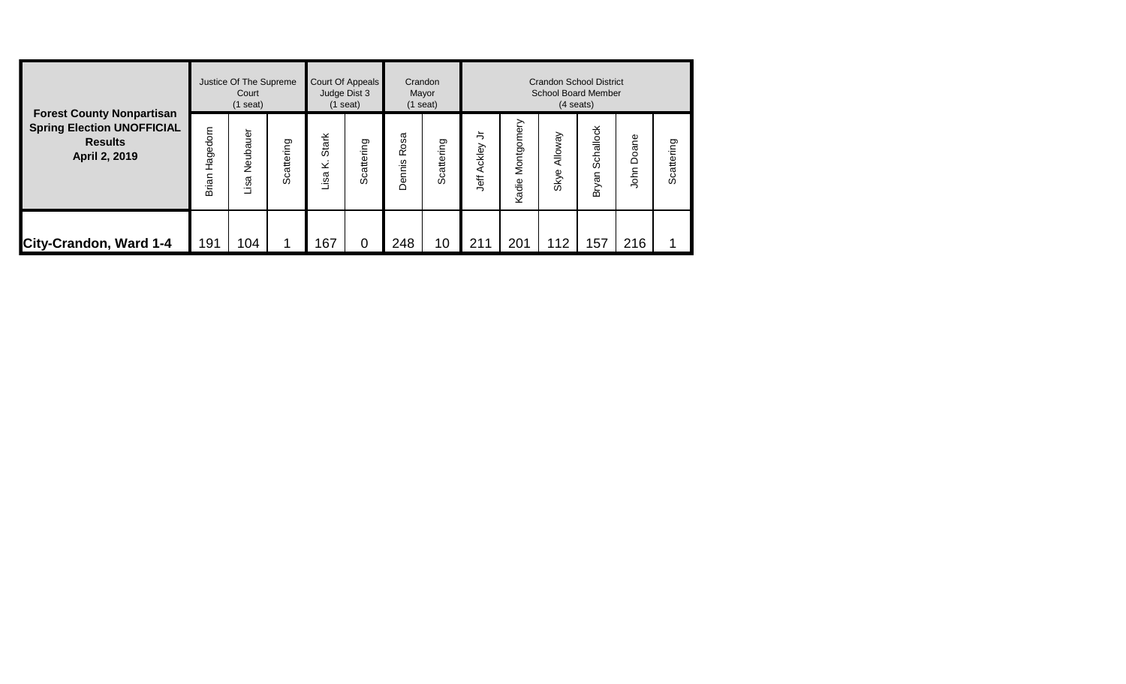| <b>Forest County Nonpartisan</b><br><b>Spring Election UNOFFICIAL</b><br><b>Results</b><br>April 2, 2019 |                   | Justice Of The Supreme<br>Court<br>$(1$ seat) |            |                   | Court Of Appeals<br>Judge Dist 3<br>$(1$ seat) | Crandon<br>Mayor<br>$(1$ seat) |                    | <b>Crandon School District</b><br><b>School Board Member</b><br>$(4$ seats) |                     |                        |                    |               |            |  |  |  |
|----------------------------------------------------------------------------------------------------------|-------------------|-----------------------------------------------|------------|-------------------|------------------------------------------------|--------------------------------|--------------------|-----------------------------------------------------------------------------|---------------------|------------------------|--------------------|---------------|------------|--|--|--|
|                                                                                                          | Hagedorn<br>Brian | Neubauer<br>Lisa                              | Scattering | Stark<br>⊻<br>isa | Scattering                                     | Rosa<br>Dennis                 | attering<br>ပ<br>Ō | っ<br>ckley<br>⋖<br>Jeff                                                     | Montgomery<br>Kadie | <b>Alloway</b><br>Skye | Schallock<br>Bryan | Doane<br>John | Scattering |  |  |  |
| City-Crandon, Ward 1-4                                                                                   | 191               | 104                                           |            | 167               | 0                                              | 248                            | 10                 | 211                                                                         | 201                 | 112                    | 157                | 216           |            |  |  |  |